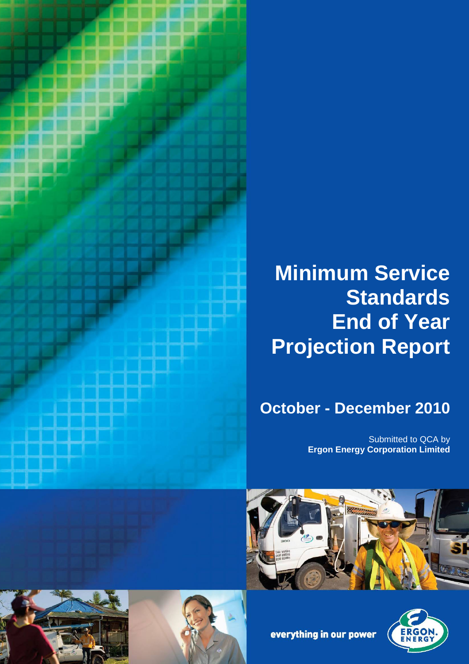

# **Minimum Service Standards End of Year Projection Report**

## **October - December 2010**

Submitted to QCA by **Ergon Energy Corporation Limited**





everything in our power



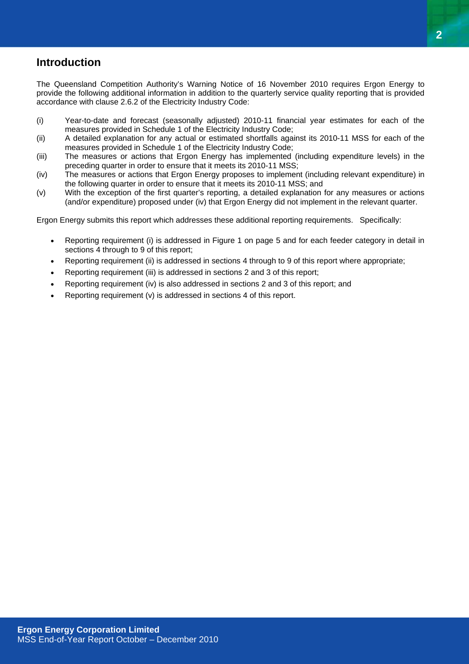## **Introduction**

The Queensland Competition Authority's Warning Notice of 16 November 2010 requires Ergon Energy to provide the following additional information in addition to the quarterly service quality reporting that is provided accordance with clause 2.6.2 of the Electricity Industry Code:

- (i) Year-to-date and forecast (seasonally adjusted) 2010-11 financial year estimates for each of the measures provided in Schedule 1 of the Electricity Industry Code;
- (ii) A detailed explanation for any actual or estimated shortfalls against its 2010-11 MSS for each of the measures provided in Schedule 1 of the Electricity Industry Code;
- (iii) The measures or actions that Ergon Energy has implemented (including expenditure levels) in the preceding quarter in order to ensure that it meets its 2010-11 MSS;
- (iv) The measures or actions that Ergon Energy proposes to implement (including relevant expenditure) in the following quarter in order to ensure that it meets its 2010-11 MSS; and
- (v) With the exception of the first quarter's reporting, a detailed explanation for any measures or actions (and/or expenditure) proposed under (iv) that Ergon Energy did not implement in the relevant quarter.

Ergon Energy submits this report which addresses these additional reporting requirements. Specifically:

- Reporting requirement (i) is addressed in Figure 1 on page 5 and for each feeder category in detail in sections 4 through to 9 of this report;
- Reporting requirement (ii) is addressed in sections 4 through to 9 of this report where appropriate;
- Reporting requirement (iii) is addressed in sections 2 and 3 of this report;
- Reporting requirement (iv) is also addressed in sections 2 and 3 of this report; and
- Reporting requirement (v) is addressed in sections 4 of this report.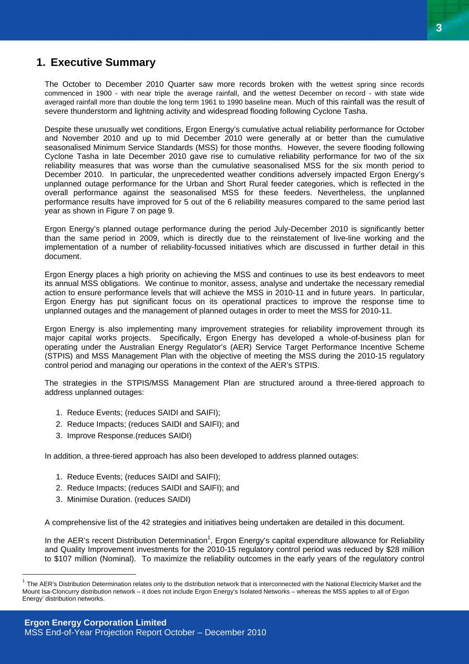## **1. Executive Summary**

The October to December 2010 Quarter saw more records broken with the wettest spring since records commenced in 1900 - with near triple the average rainfall, and the wettest December on record - with state wide averaged rainfall more than double the long term 1961 to 1990 baseline mean. Much of this rainfall was the result of severe thunderstorm and lightning activity and widespread flooding following Cyclone Tasha.

Despite these unusually wet conditions, Ergon Energy's cumulative actual reliability performance for October and November 2010 and up to mid December 2010 were generally at or better than the cumulative seasonalised Minimum Service Standards (MSS) for those months. However, the severe flooding following Cyclone Tasha in late December 2010 gave rise to cumulative reliability performance for two of the six reliability measures that was worse than the cumulative seasonalised MSS for the six month period to December 2010. In particular, the unprecedented weather conditions adversely impacted Ergon Energy's unplanned outage performance for the Urban and Short Rural feeder categories, which is reflected in the overall performance against the seasonalised MSS for these feeders. Nevertheless, the unplanned performance results have improved for 5 out of the 6 reliability measures compared to the same period last year as shown in Figure 7 on page 9.

Ergon Energy's planned outage performance during the period July-December 2010 is significantly better than the same period in 2009, which is directly due to the reinstatement of live-line working and the implementation of a number of reliability-focussed initiatives which are discussed in further detail in this document.

Ergon Energy places a high priority on achieving the MSS and continues to use its best endeavors to meet its annual MSS obligations. We continue to monitor, assess, analyse and undertake the necessary remedial action to ensure performance levels that will achieve the MSS in 2010-11 and in future years. In particular, Ergon Energy has put significant focus on its operational practices to improve the response time to unplanned outages and the management of planned outages in order to meet the MSS for 2010-11.

Ergon Energy is also implementing many improvement strategies for reliability improvement through its major capital works projects. Specifically, Ergon Energy has developed a whole-of-business plan for operating under the Australian Energy Regulator's (AER) Service Target Performance Incentive Scheme (STPIS) and MSS Management Plan with the objective of meeting the MSS during the 2010-15 regulatory control period and managing our operations in the context of the AER's STPIS.

The strategies in the STPIS/MSS Management Plan are structured around a three-tiered approach to address unplanned outages:

- 1. Reduce Events; (reduces SAIDI and SAIFI);
- 2. Reduce Impacts; (reduces SAIDI and SAIFI); and
- 3. Improve Response.(reduces SAIDI)

In addition, a three-tiered approach has also been developed to address planned outages:

- 1. Reduce Events; (reduces SAIDI and SAIFI);
- 2. Reduce Impacts; (reduces SAIDI and SAIFI); and
- 3. Minimise Duration. (reduces SAIDI)

 $\overline{a}$ 

A comprehensive list of the 42 strategies and initiatives being undertaken are detailed in this document.

In the AER's recent Distribution Determination<sup>1</sup>, Ergon Energy's capital expenditure allowance for Reliability and Quality Improvement investments for the 2010-15 regulatory control period was reduced by \$28 million to \$107 million (Nominal). To maximize the reliability outcomes in the early years of the regulatory control

<sup>1</sup> The AER's Distribution Determination relates only to the distribution network that is interconnected with the National Electricity Market and the Mount Isa-Cloncurry distribution network – it does not include Ergon Energy's Isolated Networks – whereas the MSS applies to all of Ergon Energy' distribution networks.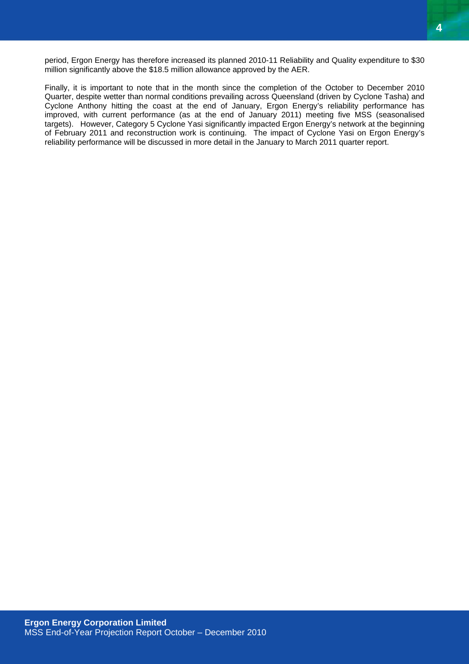period, Ergon Energy has therefore increased its planned 2010-11 Reliability and Quality expenditure to \$30 million significantly above the \$18.5 million allowance approved by the AER.

Finally, it is important to note that in the month since the completion of the October to December 2010 Quarter, despite wetter than normal conditions prevailing across Queensland (driven by Cyclone Tasha) and Cyclone Anthony hitting the coast at the end of January, Ergon Energy's reliability performance has improved, with current performance (as at the end of January 2011) meeting five MSS (seasonalised targets). However, Category 5 Cyclone Yasi significantly impacted Ergon Energy's network at the beginning of February 2011 and reconstruction work is continuing. The impact of Cyclone Yasi on Ergon Energy's reliability performance will be discussed in more detail in the January to March 2011 quarter report.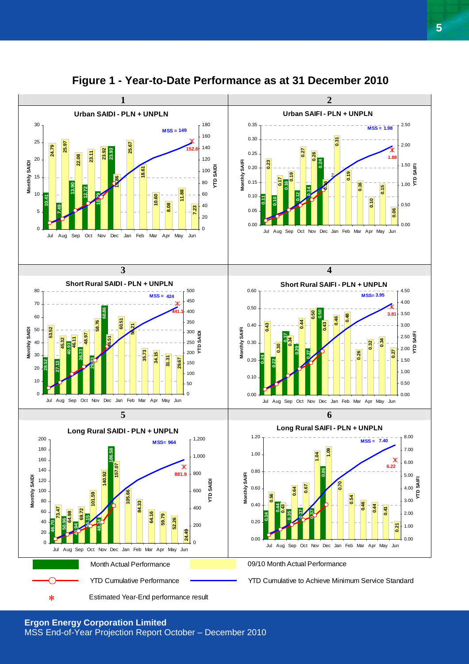

**Figure 1 - Year-to-Date Performance as at 31 December 2010**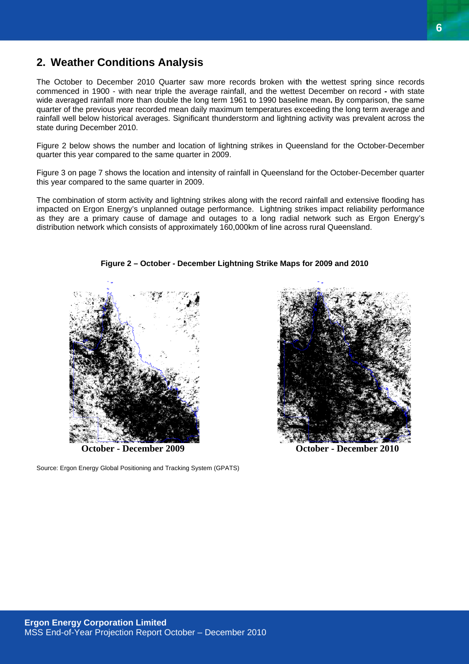## **2. Weather Conditions Analysis**

The October to December 2010 Quarter saw more records broken with **t**he wettest spring since records commenced in 1900 - with near triple the average rainfall, and the wettest December on record **-** with state wide averaged rainfall more than double the long term 1961 to 1990 baseline mean**.** By comparison, the same quarter of the previous year recorded mean daily maximum temperatures exceeding the long term average and rainfall well below historical averages. Significant thunderstorm and lightning activity was prevalent across the state during December 2010.

Figure 2 below shows the number and location of lightning strikes in Queensland for the October-December quarter this year compared to the same quarter in 2009.

Figure 3 on page 7 shows the location and intensity of rainfall in Queensland for the October-December quarter this year compared to the same quarter in 2009.

The combination of storm activity and lightning strikes along with the record rainfall and extensive flooding has impacted on Ergon Energy's unplanned outage performance. Lightning strikes impact reliability performance as they are a primary cause of damage and outages to a long radial network such as Ergon Energy's distribution network which consists of approximately 160,000km of line across rural Queensland.

**Figure 2 – October - December Lightning Strike Maps for 2009 and 2010**

Source: Ergon Energy Global Positioning and Tracking System (GPATS)



**October - December 2009 October - December 2010**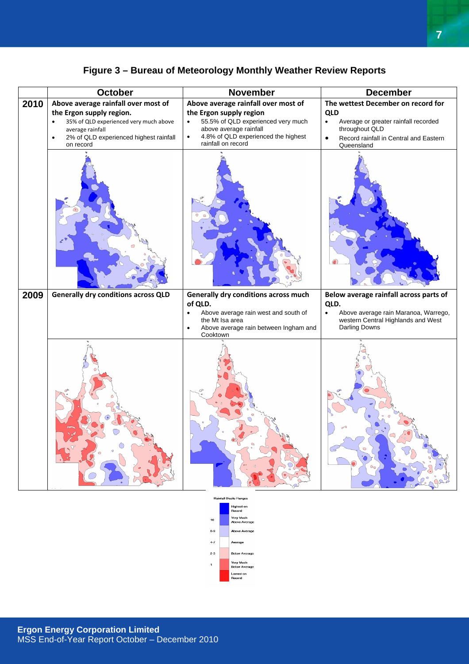|      | October                                                                                                                                                                 | November                                                                                                                                                                       | <b>December</b>                                                                                                                                        |  |  |
|------|-------------------------------------------------------------------------------------------------------------------------------------------------------------------------|--------------------------------------------------------------------------------------------------------------------------------------------------------------------------------|--------------------------------------------------------------------------------------------------------------------------------------------------------|--|--|
| 2010 | Above average rainfall over most of                                                                                                                                     | Above average rainfall over most of                                                                                                                                            | The wettest December on record for                                                                                                                     |  |  |
|      | the Ergon supply region.<br>35% of QLD experienced very much above<br>$\bullet$<br>average rainfall<br>2% of QLD experienced highest rainfall<br>$\bullet$<br>on record | the Ergon supply region<br>55.5% of QLD experienced very much<br>$\bullet$<br>above average rainfall<br>4.8% of QLD experienced the highest<br>$\bullet$<br>rainfall on record | <b>QLD</b><br>Average or greater rainfall recorded<br>$\bullet$<br>throughout QLD<br>Record rainfall in Central and Eastern<br>$\bullet$<br>Queensland |  |  |
|      |                                                                                                                                                                         |                                                                                                                                                                                |                                                                                                                                                        |  |  |
| 2009 | <b>Generally dry conditions across QLD</b>                                                                                                                              | Generally dry conditions across much<br>of QLD.                                                                                                                                | Below average rainfall across parts of<br>QLD.                                                                                                         |  |  |
|      |                                                                                                                                                                         | Above average rain west and south of<br>$\bullet$<br>the Mt Isa area<br>Above average rain between Ingham and<br>$\bullet$<br>Cooktown                                         | Above average rain Maranoa, Warrego,<br>$\bullet$<br>western Central Highlands and West<br>Darling Downs                                               |  |  |
|      |                                                                                                                                                                         |                                                                                                                                                                                | $\circ$                                                                                                                                                |  |  |
|      | <b>Rainfall Decile Ranges</b>                                                                                                                                           |                                                                                                                                                                                |                                                                                                                                                        |  |  |

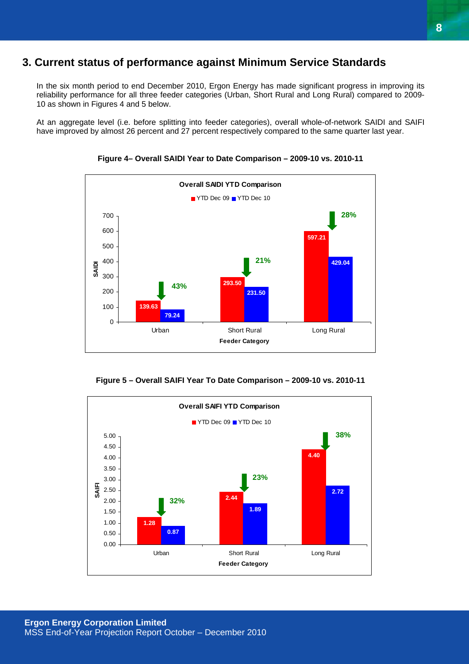## **3. Current status of performance against Minimum Service Standards**

In the six month period to end December 2010, Ergon Energy has made significant progress in improving its reliability performance for all three feeder categories (Urban, Short Rural and Long Rural) compared to 2009- 10 as shown in Figures 4 and 5 below.

At an aggregate level (i.e. before splitting into feeder categories), overall whole-of-network SAIDI and SAIFI have improved by almost 26 percent and 27 percent respectively compared to the same quarter last year.



**Figure 4– Overall SAIDI Year to Date Comparison – 2009-10 vs. 2010-11** 

**Figure 5 – Overall SAIFI Year To Date Comparison – 2009-10 vs. 2010-11** 

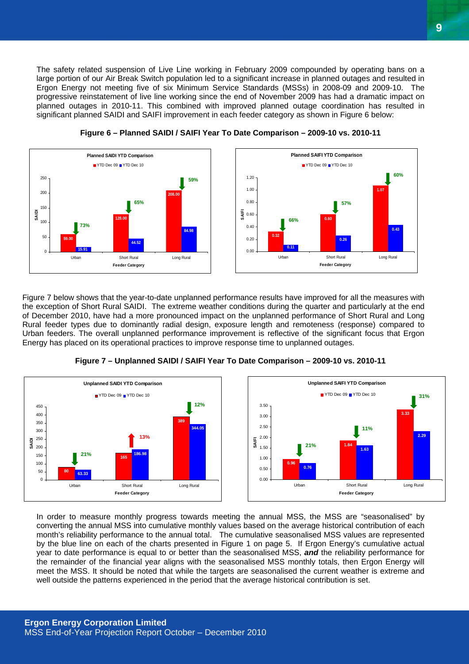The safety related suspension of Live Line working in February 2009 compounded by operating bans on a large portion of our Air Break Switch population led to a significant increase in planned outages and resulted in Ergon Energy not meeting five of six Minimum Service Standards (MSSs) in 2008-09 and 2009-10. The progressive reinstatement of live line working since the end of November 2009 has had a dramatic impact on planned outages in 2010-11. This combined with improved planned outage coordination has resulted in significant planned SAIDI and SAIFI improvement in each feeder category as shown in Figure 6 below:





Figure 7 below shows that the year-to-date unplanned performance results have improved for all the measures with the exception of Short Rural SAIDI. The extreme weather conditions during the quarter and particularly at the end of December 2010, have had a more pronounced impact on the unplanned performance of Short Rural and Long Rural feeder types due to dominantly radial design, exposure length and remoteness (response) compared to Urban feeders. The overall unplanned performance improvement is reflective of the significant focus that Ergon Energy has placed on its operational practices to improve response time to unplanned outages.



![](_page_8_Figure_5.jpeg)

**1.07**

**0.43**

**60%**

In order to measure monthly progress towards meeting the annual MSS, the MSS are "seasonalised" by converting the annual MSS into cumulative monthly values based on the average historical contribution of each month's reliability performance to the annual total. The cumulative seasonalised MSS values are represented by the blue line on each of the charts presented in Figure 1 on page 5. If Ergon Energy's cumulative actual year to date performance is equal to or better than the seasonalised MSS, *and* the reliability performance for the remainder of the financial year aligns with the seasonalised MSS monthly totals, then Ergon Energy will meet the MSS. It should be noted that while the targets are seasonalised the current weather is extreme and well outside the patterns experienced in the period that the average historical contribution is set.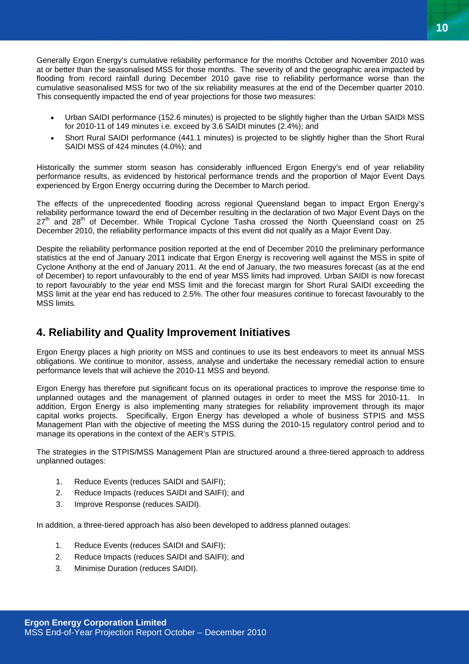Generally Ergon Energy's cumulative reliability performance for the months October and November 2010 was at or better than the seasonalised MSS for those months. The severity of and the geographic area impacted by flooding from record rainfall during December 2010 gave rise to reliability performance worse than the cumulative seasonalised MSS for two of the six reliability measures at the end of the December quarter 2010. This consequently impacted the end of year projections for those two measures:

- Urban SAIDI performance (152.6 minutes) is projected to be slightly higher than the Urban SAIDI MSS for 2010-11 of 149 minutes i.e. exceed by 3.6 SAIDI minutes (2.4%); and
- Short Rural SAIDI performance (441.1 minutes) is projected to be slightly higher than the Short Rural SAIDI MSS of 424 minutes (4.0%); and

Historically the summer storm season has considerably influenced Ergon Energy's end of year reliability performance results, as evidenced by historical performance trends and the proportion of Major Event Days experienced by Ergon Energy occurring during the December to March period.

The effects of the unprecedented flooding across regional Queensland began to impact Ergon Energy's reliability performance toward the end of December resulting in the declaration of two Major Event Days on the  $27<sup>th</sup>$  and  $28<sup>th</sup>$  of December. While Tropical Cyclone Tasha crossed the North Queensland coast on 25 December 2010, the reliability performance impacts of this event did not qualify as a Major Event Day.

Despite the reliability performance position reported at the end of December 2010 the preliminary performance statistics at the end of January 2011 indicate that Ergon Energy is recovering well against the MSS in spite of Cyclone Anthony at the end of January 2011. At the end of January, the two measures forecast (as at the end of December) to report unfavourably to the end of year MSS limits had improved. Urban SAIDI is now forecast to report favourably to the year end MSS limit and the forecast margin for Short Rural SAIDI exceeding the MSS limit at the year end has reduced to 2.5%. The other four measures continue to forecast favourably to the MSS limits.

## **4. Reliability and Quality Improvement Initiatives**

Ergon Energy places a high priority on MSS and continues to use its best endeavors to meet its annual MSS obligations. We continue to monitor, assess, analyse and undertake the necessary remedial action to ensure performance levels that will achieve the 2010-11 MSS and beyond.

Ergon Energy has therefore put significant focus on its operational practices to improve the response time to unplanned outages and the management of planned outages in order to meet the MSS for 2010-11. In addition, Ergon Energy is also implementing many strategies for reliability improvement through its major capital works projects. Specifically, Ergon Energy has developed a whole of business STPIS and MSS Management Plan with the objective of meeting the MSS during the 2010-15 regulatory control period and to manage its operations in the context of the AER's STPIS.

The strategies in the STPIS/MSS Management Plan are structured around a three-tiered approach to address unplanned outages:

- 1. Reduce Events (reduces SAIDI and SAIFI);
- 2. Reduce Impacts (reduces SAIDI and SAIFI); and
- 3. Improve Response (reduces SAIDI).

In addition, a three-tiered approach has also been developed to address planned outages:

- 1. Reduce Events (reduces SAIDI and SAIFI);
- 2. Reduce Impacts (reduces SAIDI and SAIFI); and
- 3. Minimise Duration (reduces SAIDI).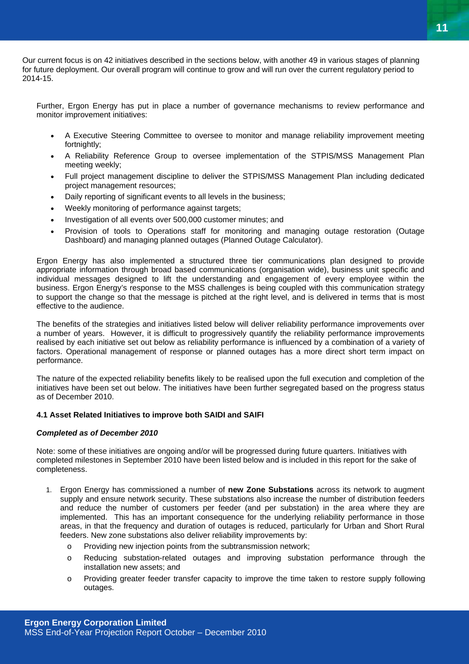Our current focus is on 42 initiatives described in the sections below, with another 49 in various stages of planning for future deployment. Our overall program will continue to grow and will run over the current regulatory period to 2014-15.

Further, Ergon Energy has put in place a number of governance mechanisms to review performance and monitor improvement initiatives:

- A Executive Steering Committee to oversee to monitor and manage reliability improvement meeting fortnightly:
- A Reliability Reference Group to oversee implementation of the STPIS/MSS Management Plan meeting weekly;
- Full project management discipline to deliver the STPIS/MSS Management Plan including dedicated project management resources;
- Daily reporting of significant events to all levels in the business;
- Weekly monitoring of performance against targets;
- Investigation of all events over 500,000 customer minutes; and
- Provision of tools to Operations staff for monitoring and managing outage restoration (Outage Dashboard) and managing planned outages (Planned Outage Calculator).

Ergon Energy has also implemented a structured three tier communications plan designed to provide appropriate information through broad based communications (organisation wide), business unit specific and individual messages designed to lift the understanding and engagement of every employee within the business. Ergon Energy's response to the MSS challenges is being coupled with this communication strategy to support the change so that the message is pitched at the right level, and is delivered in terms that is most effective to the audience.

The benefits of the strategies and initiatives listed below will deliver reliability performance improvements over a number of years. However, it is difficult to progressively quantify the reliability performance improvements realised by each initiative set out below as reliability performance is influenced by a combination of a variety of factors. Operational management of response or planned outages has a more direct short term impact on performance.

The nature of the expected reliability benefits likely to be realised upon the full execution and completion of the initiatives have been set out below. The initiatives have been further segregated based on the progress status as of December 2010.

#### **4.1 Asset Related Initiatives to improve both SAIDI and SAIFI**

#### *Completed as of December 2010*

Note: some of these initiatives are ongoing and/or will be progressed during future quarters. Initiatives with completed milestones in September 2010 have been listed below and is included in this report for the sake of completeness.

- 1. Ergon Energy has commissioned a number of **new Zone Substations** across its network to augment supply and ensure network security. These substations also increase the number of distribution feeders and reduce the number of customers per feeder (and per substation) in the area where they are implemented. This has an important consequence for the underlying reliability performance in those areas, in that the frequency and duration of outages is reduced, particularly for Urban and Short Rural feeders. New zone substations also deliver reliability improvements by:
	- o Providing new injection points from the subtransmission network;
	- o Reducing substation-related outages and improving substation performance through the installation new assets; and
	- o Providing greater feeder transfer capacity to improve the time taken to restore supply following outages.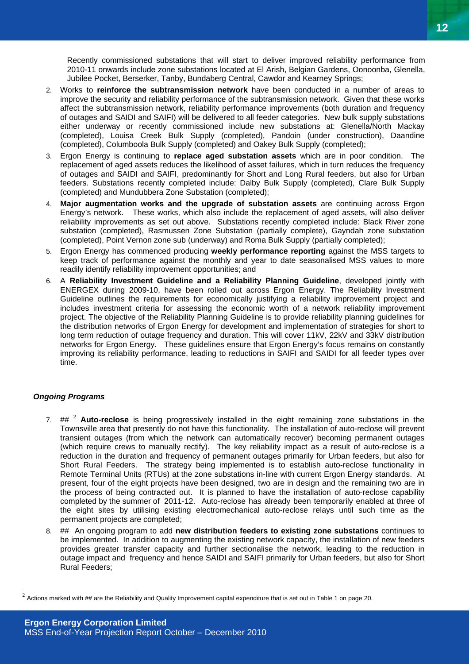Recently commissioned substations that will start to deliver improved reliability performance from 2010-11 onwards include zone substations located at El Arish, Belgian Gardens, Oonoonba, Glenella, Jubilee Pocket, Berserker, Tanby, Bundaberg Central, Cawdor and Kearney Springs;

- 2. Works to **reinforce the subtransmission network** have been conducted in a number of areas to improve the security and reliability performance of the subtransmission network. Given that these works affect the subtransmission network, reliability performance improvements (both duration and frequency of outages and SAIDI and SAIFI) will be delivered to all feeder categories. New bulk supply substations either underway or recently commissioned include new substations at: Glenella/North Mackay (completed), Louisa Creek Bulk Supply (completed), Pandoin (under construction), Daandine (completed), Columboola Bulk Supply (completed) and Oakey Bulk Supply (completed);
- 3. Ergon Energy is continuing to **replace aged substation assets** which are in poor condition. The replacement of aged assets reduces the likelihood of asset failures, which in turn reduces the frequency of outages and SAIDI and SAIFI, predominantly for Short and Long Rural feeders, but also for Urban feeders. Substations recently completed include: Dalby Bulk Supply (completed), Clare Bulk Supply (completed) and Mundubbera Zone Substation (completed);
- 4. **Major augmentation works and the upgrade of substation assets** are continuing across Ergon Energy's network. These works, which also include the replacement of aged assets, will also deliver reliability improvements as set out above. Substations recently completed include: Black River zone substation (completed), Rasmussen Zone Substation (partially complete), Gayndah zone substation (completed), Point Vernon zone sub (underway) and Roma Bulk Supply (partially completed);
- 5. Ergon Energy has commenced producing **weekly performance reporting** against the MSS targets to keep track of performance against the monthly and year to date seasonalised MSS values to more readily identify reliability improvement opportunities; and
- 6. A **Reliability Investment Guideline and a Reliability Planning Guideline**, developed jointly with ENERGEX during 2009-10, have been rolled out across Ergon Energy. The Reliability Investment Guideline outlines the requirements for economically justifying a reliability improvement project and includes investment criteria for assessing the economic worth of a network reliability improvement project. The objective of the Reliability Planning Guideline is to provide reliability planning guidelines for the distribution networks of Ergon Energy for development and implementation of strategies for short to long term reduction of outage frequency and duration. This will cover 11kV, 22kV and 33kV distribution networks for Ergon Energy. These guidelines ensure that Ergon Energy's focus remains on constantly improving its reliability performance, leading to reductions in SAIFI and SAIDI for all feeder types over time.

#### *Ongoing Programs*

 $\overline{a}$ 

- 7. ## <sup>2</sup> **Auto-reclose** is being progressively installed in the eight remaining zone substations in the Townsville area that presently do not have this functionality. The installation of auto-reclose will prevent transient outages (from which the network can automatically recover) becoming permanent outages (which require crews to manually rectify). The key reliability impact as a result of auto-reclose is a reduction in the duration and frequency of permanent outages primarily for Urban feeders, but also for Short Rural Feeders. The strategy being implemented is to establish auto-reclose functionality in Remote Terminal Units (RTUs) at the zone substations in-line with current Ergon Energy standards. At present, four of the eight projects have been designed, two are in design and the remaining two are in the process of being contracted out. It is planned to have the installation of auto-reclose capability completed by the summer of 2011-12. Auto-reclose has already been temporarily enabled at three of the eight sites by utilising existing electromechanical auto-reclose relays until such time as the permanent projects are completed;
- 8. ## An ongoing program to add **new distribution feeders to existing zone substations** continues to be implemented. In addition to augmenting the existing network capacity, the installation of new feeders provides greater transfer capacity and further sectionalise the network, leading to the reduction in outage impact and frequency and hence SAIDI and SAIFI primarily for Urban feeders, but also for Short Rural Feeders;

 $2$  Actions marked with  $\#$  are the Reliability and Quality Improvement capital expenditure that is set out in Table 1 on page 20.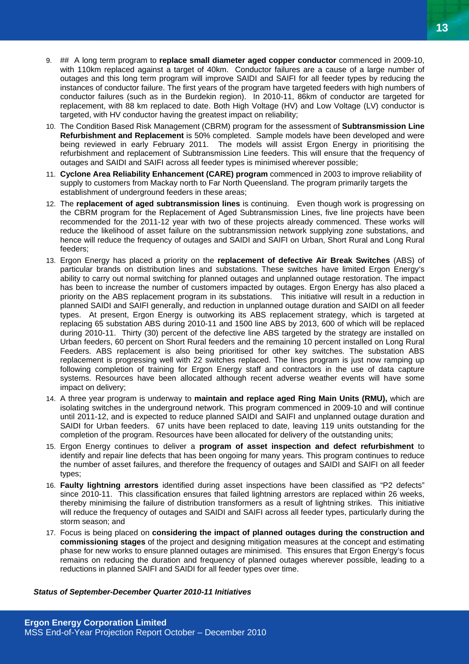- 9. ## A long term program to **replace small diameter aged copper conductor** commenced in 2009-10, with 110km replaced against a target of 40km. Conductor failures are a cause of a large number of outages and this long term program will improve SAIDI and SAIFI for all feeder types by reducing the instances of conductor failure. The first years of the program have targeted feeders with high numbers of conductor failures (such as in the Burdekin region). In 2010-11, 86km of conductor are targeted for replacement, with 88 km replaced to date. Both High Voltage (HV) and Low Voltage (LV) conductor is targeted, with HV conductor having the greatest impact on reliability;
- 10. The Condition Based Risk Management (CBRM) program for the assessment of **Subtransmission Line Refurbishment and Replacement** is 50% completed. Sample models have been developed and were being reviewed in early February 2011. The models will assist Ergon Energy in prioritising the refurbishment and replacement of Subtransmission Line feeders. This will ensure that the frequency of outages and SAIDI and SAIFI across all feeder types is minimised wherever possible;
- 11. **Cyclone Area Reliability Enhancement (CARE) program** commenced in 2003 to improve reliability of supply to customers from Mackay north to Far North Queensland. The program primarily targets the establishment of underground feeders in these areas;
- 12. The **replacement of aged subtransmission lines** is continuing. Even though work is progressing on the CBRM program for the Replacement of Aged Subtransmission Lines, five line projects have been recommended for the 2011-12 year with two of these projects already commenced. These works will reduce the likelihood of asset failure on the subtransmission network supplying zone substations, and hence will reduce the frequency of outages and SAIDI and SAIFI on Urban, Short Rural and Long Rural feeders;
- 13. Ergon Energy has placed a priority on the **replacement of defective Air Break Switches** (ABS) of particular brands on distribution lines and substations. These switches have limited Ergon Energy's ability to carry out normal switching for planned outages and unplanned outage restoration. The impact has been to increase the number of customers impacted by outages. Ergon Energy has also placed a priority on the ABS replacement program in its substations. This initiative will result in a reduction in planned SAIDI and SAIFI generally, and reduction in unplanned outage duration and SAIDI on all feeder types. At present, Ergon Energy is outworking its ABS replacement strategy, which is targeted at replacing 65 substation ABS during 2010-11 and 1500 line ABS by 2013, 600 of which will be replaced during 2010-11. Thirty (30) percent of the defective line ABS targeted by the strategy are installed on Urban feeders, 60 percent on Short Rural feeders and the remaining 10 percent installed on Long Rural Feeders. ABS replacement is also being prioritised for other key switches. The substation ABS replacement is progressing well with 22 switches replaced. The lines program is just now ramping up following completion of training for Ergon Energy staff and contractors in the use of data capture systems. Resources have been allocated although recent adverse weather events will have some impact on delivery;
- 14. A three year program is underway to **maintain and replace aged Ring Main Units (RMU),** which are isolating switches in the underground network. This program commenced in 2009-10 and will continue until 2011-12, and is expected to reduce planned SAIDI and SAIFI and unplanned outage duration and SAIDI for Urban feeders. 67 units have been replaced to date, leaving 119 units outstanding for the completion of the program. Resources have been allocated for delivery of the outstanding units;
- 15. Ergon Energy continues to deliver a **program of asset inspection and defect refurbishment** to identify and repair line defects that has been ongoing for many years. This program continues to reduce the number of asset failures, and therefore the frequency of outages and SAIDI and SAIFI on all feeder types;
- 16. **Faulty lightning arrestors** identified during asset inspections have been classified as "P2 defects" since 2010-11. This classification ensures that failed lightning arrestors are replaced within 26 weeks, thereby minimising the failure of distribution transformers as a result of lightning strikes. This initiative will reduce the frequency of outages and SAIDI and SAIFI across all feeder types, particularly during the storm season; and
- 17. Focus is being placed on **considering the impact of planned outages during the construction and commissioning stages** of the project and designing mitigation measures at the concept and estimating phase for new works to ensure planned outages are minimised. This ensures that Ergon Energy's focus remains on reducing the duration and frequency of planned outages wherever possible, leading to a reductions in planned SAIFI and SAIDI for all feeder types over time.

#### *Status of September-December Quarter 2010-11 Initiatives*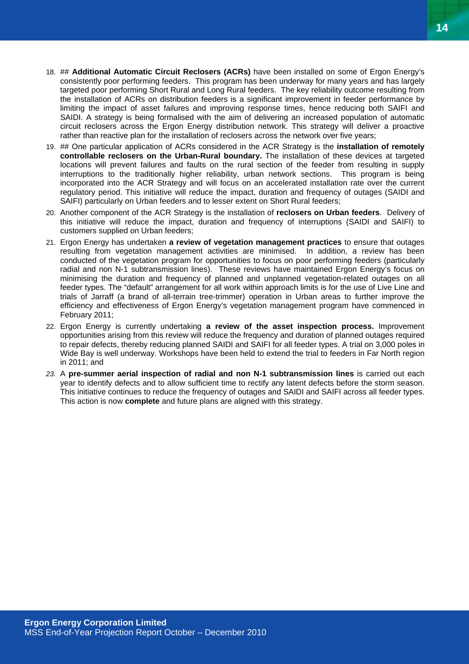- 18. ## **Additional Automatic Circuit Reclosers (ACRs)** have been installed on some of Ergon Energy's consistently poor performing feeders. This program has been underway for many years and has largely targeted poor performing Short Rural and Long Rural feeders. The key reliability outcome resulting from the installation of ACRs on distribution feeders is a significant improvement in feeder performance by limiting the impact of asset failures and improving response times, hence reducing both SAIFI and SAIDI. A strategy is being formalised with the aim of delivering an increased population of automatic circuit reclosers across the Ergon Energy distribution network. This strategy will deliver a proactive rather than reactive plan for the installation of reclosers across the network over five years;
- 19. ## One particular application of ACRs considered in the ACR Strategy is the **installation of remotely controllable reclosers on the Urban-Rural boundary.** The installation of these devices at targeted locations will prevent failures and faults on the rural section of the feeder from resulting in supply interruptions to the traditionally higher reliability, urban network sections. This program is being incorporated into the ACR Strategy and will focus on an accelerated installation rate over the current regulatory period. This initiative will reduce the impact, duration and frequency of outages (SAIDI and SAIFI) particularly on Urban feeders and to lesser extent on Short Rural feeders;
- 20. Another component of the ACR Strategy is the installation of **reclosers on Urban feeders**. Delivery of this initiative will reduce the impact, duration and frequency of interruptions (SAIDI and SAIFI) to customers supplied on Urban feeders;
- 21. Ergon Energy has undertaken **a review of vegetation management practices** to ensure that outages resulting from vegetation management activities are minimised. In addition, a review has been conducted of the vegetation program for opportunities to focus on poor performing feeders (particularly radial and non N-1 subtransmission lines). These reviews have maintained Ergon Energy's focus on minimising the duration and frequency of planned and unplanned vegetation-related outages on all feeder types. The "default" arrangement for all work within approach limits is for the use of Live Line and trials of Jarraff (a brand of all-terrain tree-trimmer) operation in Urban areas to further improve the efficiency and effectiveness of Ergon Energy's vegetation management program have commenced in February 2011;
- 22. Ergon Energy is currently undertaking **a review of the asset inspection process.** Improvement opportunities arising from this review will reduce the frequency and duration of planned outages required to repair defects, thereby reducing planned SAIDI and SAIFI for all feeder types. A trial on 3,000 poles in Wide Bay is well underway. Workshops have been held to extend the trial to feeders in Far North region in 2011; and
- *23.* A **pre-summer aerial inspection of radial and non N-1 subtransmission lines** is carried out each year to identify defects and to allow sufficient time to rectify any latent defects before the storm season. This initiative continues to reduce the frequency of outages and SAIDI and SAIFI across all feeder types. This action is now **complete** and future plans are aligned with this strategy.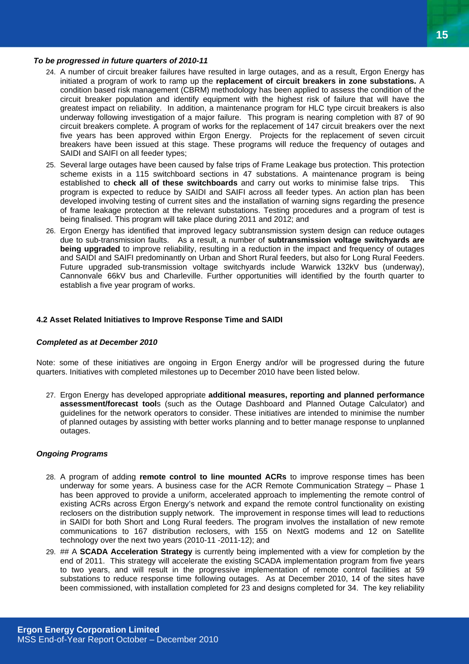#### *To be progressed in future quarters of 2010-11*

- 24. A number of circuit breaker failures have resulted in large outages, and as a result, Ergon Energy has initiated a program of work to ramp up the **replacement of circuit breakers in zone substations.** A condition based risk management (CBRM) methodology has been applied to assess the condition of the circuit breaker population and identify equipment with the highest risk of failure that will have the greatest impact on reliability. In addition, a maintenance program for HLC type circuit breakers is also underway following investigation of a major failure. This program is nearing completion with 87 of 90 circuit breakers complete. A program of works for the replacement of 147 circuit breakers over the next five years has been approved within Ergon Energy. Projects for the replacement of seven circuit breakers have been issued at this stage. These programs will reduce the frequency of outages and SAIDI and SAIFI on all feeder types;
- 25. Several large outages have been caused by false trips of Frame Leakage bus protection. This protection scheme exists in a 115 switchboard sections in 47 substations. A maintenance program is being established to **check all of these switchboards** and carry out works to minimise false trips. This program is expected to reduce by SAIDI and SAIFI across all feeder types. An action plan has been developed involving testing of current sites and the installation of warning signs regarding the presence of frame leakage protection at the relevant substations. Testing procedures and a program of test is being finalised. This program will take place during 2011 and 2012; and
- 26. Ergon Energy has identified that improved legacy subtransmission system design can reduce outages due to sub-transmission faults. As a result, a number of **subtransmission voltage switchyards are being upgraded** to improve reliability, resulting in a reduction in the impact and frequency of outages and SAIDI and SAIFI predominantly on Urban and Short Rural feeders, but also for Long Rural Feeders. Future upgraded sub-transmission voltage switchyards include Warwick 132kV bus (underway), Cannonvale 66kV bus and Charleville. Further opportunities will identified by the fourth quarter to establish a five year program of works.

#### **4.2 Asset Related Initiatives to Improve Response Time and SAIDI**

#### *Completed as at December 2010*

Note: some of these initiatives are ongoing in Ergon Energy and/or will be progressed during the future quarters. Initiatives with completed milestones up to December 2010 have been listed below.

27. Ergon Energy has developed appropriate **additional measures, reporting and planned performance assessment/forecast tool**s (such as the Outage Dashboard and Planned Outage Calculator) and guidelines for the network operators to consider. These initiatives are intended to minimise the number of planned outages by assisting with better works planning and to better manage response to unplanned outages.

#### *Ongoing Programs*

- 28. A program of adding **remote control to line mounted ACRs** to improve response times has been underway for some years. A business case for the ACR Remote Communication Strategy – Phase 1 has been approved to provide a uniform, accelerated approach to implementing the remote control of existing ACRs across Ergon Energy's network and expand the remote control functionality on existing reclosers on the distribution supply network. The improvement in response times will lead to reductions in SAIDI for both Short and Long Rural feeders. The program involves the installation of new remote communications to 167 distribution reclosers, with 155 on NextG modems and 12 on Satellite technology over the next two years (2010-11 -2011-12); and
- 29. ## A **SCADA Acceleration Strategy** is currently being implemented with a view for completion by the end of 2011. This strategy will accelerate the existing SCADA implementation program from five years to two years, and will result in the progressive implementation of remote control facilities at 59 substations to reduce response time following outages. As at December 2010, 14 of the sites have been commissioned, with installation completed for 23 and designs completed for 34. The key reliability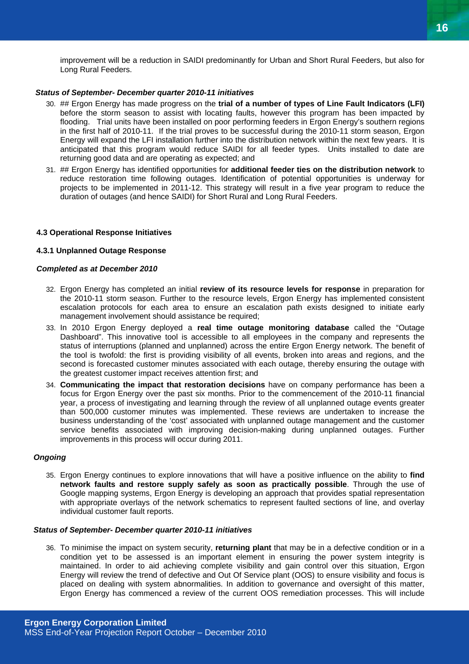improvement will be a reduction in SAIDI predominantly for Urban and Short Rural Feeders, but also for Long Rural Feeders.

#### *Status of September- December quarter 2010-11 initiatives*

- 30. ## Ergon Energy has made progress on the **trial of a number of types of Line Fault Indicators (LFI)** before the storm season to assist with locating faults, however this program has been impacted by flooding. Trial units have been installed on poor performing feeders in Ergon Energy's southern regions in the first half of 2010-11. If the trial proves to be successful during the 2010-11 storm season, Ergon Energy will expand the LFI installation further into the distribution network within the next few years. It is anticipated that this program would reduce SAIDI for all feeder types. Units installed to date are returning good data and are operating as expected; and
- 31. ## Ergon Energy has identified opportunities for **additional feeder ties on the distribution network** to reduce restoration time following outages. Identification of potential opportunities is underway for projects to be implemented in 2011-12. This strategy will result in a five year program to reduce the duration of outages (and hence SAIDI) for Short Rural and Long Rural Feeders.

#### **4.3 Operational Response Initiatives**

#### **4.3.1 Unplanned Outage Response**

#### *Completed as at December 2010*

- 32. Ergon Energy has completed an initial **review of its resource levels for response** in preparation for the 2010-11 storm season. Further to the resource levels, Ergon Energy has implemented consistent escalation protocols for each area to ensure an escalation path exists designed to initiate early management involvement should assistance be required:
- 33. In 2010 Ergon Energy deployed a **real time outage monitoring database** called the "Outage Dashboard". This innovative tool is accessible to all employees in the company and represents the status of interruptions (planned and unplanned) across the entire Ergon Energy network. The benefit of the tool is twofold: the first is providing visibility of all events, broken into areas and regions, and the second is forecasted customer minutes associated with each outage, thereby ensuring the outage with the greatest customer impact receives attention first; and
- 34. **Communicating the impact that restoration decisions** have on company performance has been a focus for Ergon Energy over the past six months. Prior to the commencement of the 2010-11 financial year, a process of investigating and learning through the review of all unplanned outage events greater than 500,000 customer minutes was implemented. These reviews are undertaken to increase the business understanding of the 'cost' associated with unplanned outage management and the customer service benefits associated with improving decision-making during unplanned outages. Further improvements in this process will occur during 2011.

#### *Ongoing*

35. Ergon Energy continues to explore innovations that will have a positive influence on the ability to **find network faults and restore supply safely as soon as practically possible**. Through the use of Google mapping systems, Ergon Energy is developing an approach that provides spatial representation with appropriate overlays of the network schematics to represent faulted sections of line, and overlay individual customer fault reports.

#### *Status of September- December quarter 2010-11 initiatives*

36. To minimise the impact on system security, **returning plant** that may be in a defective condition or in a condition yet to be assessed is an important element in ensuring the power system integrity is maintained. In order to aid achieving complete visibility and gain control over this situation, Ergon Energy will review the trend of defective and Out Of Service plant (OOS) to ensure visibility and focus is placed on dealing with system abnormalities. In addition to governance and oversight of this matter, Ergon Energy has commenced a review of the current OOS remediation processes. This will include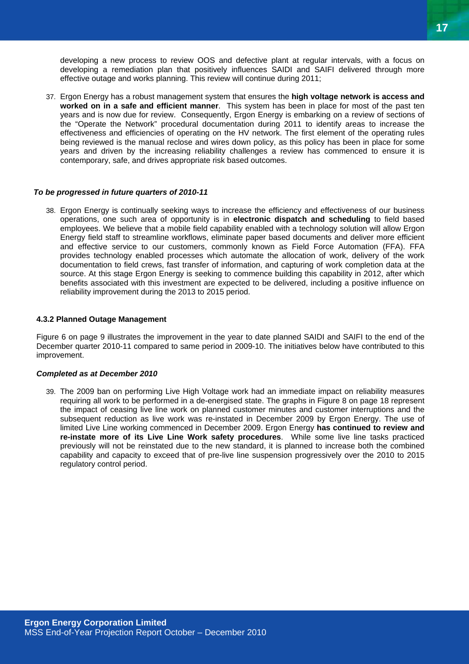developing a new process to review OOS and defective plant at regular intervals, with a focus on developing a remediation plan that positively influences SAIDI and SAIFI delivered through more effective outage and works planning. This review will continue during 2011;

37. Ergon Energy has a robust management system that ensures the **high voltage network is access and worked on in a safe and efficient manner**. This system has been in place for most of the past ten years and is now due for review. Consequently, Ergon Energy is embarking on a review of sections of the "Operate the Network" procedural documentation during 2011 to identify areas to increase the effectiveness and efficiencies of operating on the HV network. The first element of the operating rules being reviewed is the manual reclose and wires down policy, as this policy has been in place for some years and driven by the increasing reliability challenges a review has commenced to ensure it is contemporary, safe, and drives appropriate risk based outcomes.

#### *To be progressed in future quarters of 2010-11*

38. Ergon Energy is continually seeking ways to increase the efficiency and effectiveness of our business operations, one such area of opportunity is in **electronic dispatch and scheduling** to field based employees. We believe that a mobile field capability enabled with a technology solution will allow Ergon Energy field staff to streamline workflows, eliminate paper based documents and deliver more efficient and effective service to our customers, commonly known as Field Force Automation (FFA). FFA provides technology enabled processes which automate the allocation of work, delivery of the work documentation to field crews, fast transfer of information, and capturing of work completion data at the source. At this stage Ergon Energy is seeking to commence building this capability in 2012, after which benefits associated with this investment are expected to be delivered, including a positive influence on reliability improvement during the 2013 to 2015 period.

#### **4.3.2 Planned Outage Management**

Figure 6 on page 9 illustrates the improvement in the year to date planned SAIDI and SAIFI to the end of the December quarter 2010-11 compared to same period in 2009-10. The initiatives below have contributed to this improvement.

#### *Completed as at December 2010*

39. The 2009 ban on performing Live High Voltage work had an immediate impact on reliability measures requiring all work to be performed in a de-energised state. The graphs in Figure 8 on page 18 represent the impact of ceasing live line work on planned customer minutes and customer interruptions and the subsequent reduction as live work was re-instated in December 2009 by Ergon Energy. The use of limited Live Line working commenced in December 2009. Ergon Energy **has continued to review and re-instate more of its Live Line Work safety procedures**. While some live line tasks practiced previously will not be reinstated due to the new standard, it is planned to increase both the combined capability and capacity to exceed that of pre-live line suspension progressively over the 2010 to 2015 regulatory control period.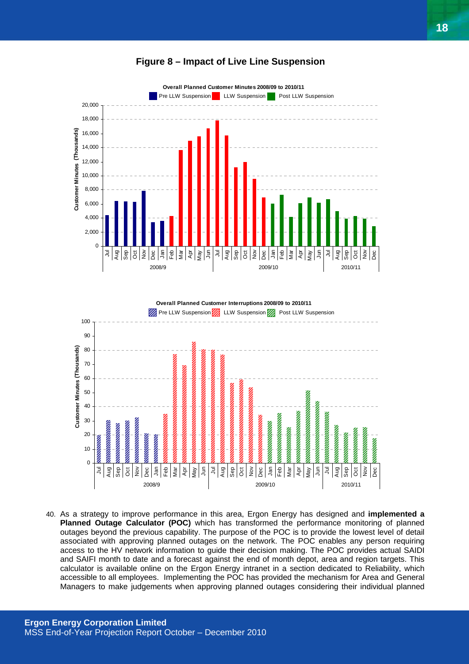#### **Figure 8 – Impact of Live Line Suspension**

![](_page_17_Figure_1.jpeg)

**Overall Planned Customer Interruptions 2008/09 to 2010/11**

![](_page_17_Figure_3.jpeg)

40. As a strategy to improve performance in this area, Ergon Energy has designed and **implemented a Planned Outage Calculator (POC)** which has transformed the performance monitoring of planned outages beyond the previous capability. The purpose of the POC is to provide the lowest level of detail associated with approving planned outages on the network. The POC enables any person requiring access to the HV network information to guide their decision making. The POC provides actual SAIDI and SAIFI month to date and a forecast against the end of month depot, area and region targets. This calculator is available online on the Ergon Energy intranet in a section dedicated to Reliability, which accessible to all employees. Implementing the POC has provided the mechanism for Area and General Managers to make judgements when approving planned outages considering their individual planned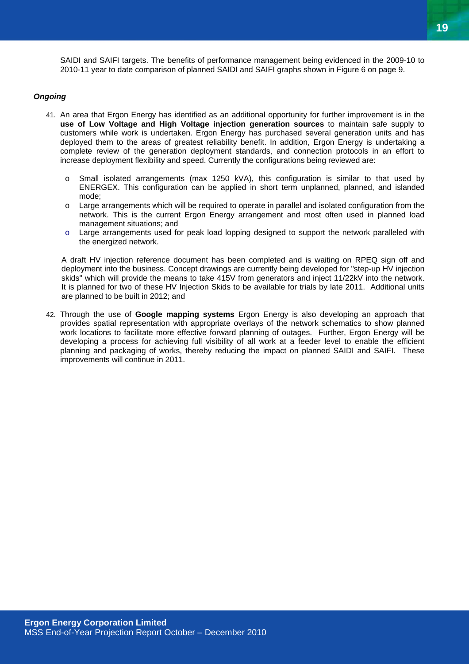*Ongoing* 

41. An area that Ergon Energy has identified as an additional opportunity for further improvement is in the **use of Low Voltage and High Voltage injection generation sources** to maintain safe supply to customers while work is undertaken. Ergon Energy has purchased several generation units and has deployed them to the areas of greatest reliability benefit. In addition, Ergon Energy is undertaking a complete review of the generation deployment standards, and connection protocols in an effort to increase deployment flexibility and speed. Currently the configurations being reviewed are:

SAIDI and SAIFI targets. The benefits of performance management being evidenced in the 2009-10 to 2010-11 year to date comparison of planned SAIDI and SAIFI graphs shown in Figure 6 on page 9.

- o Small isolated arrangements (max 1250 kVA), this configuration is similar to that used by ENERGEX. This configuration can be applied in short term unplanned, planned, and islanded mode;
- o Large arrangements which will be required to operate in parallel and isolated configuration from the network. This is the current Ergon Energy arrangement and most often used in planned load management situations; and
- $\circ$  Large arrangements used for peak load lopping designed to support the network paralleled with the energized network.

A draft HV injection reference document has been completed and is waiting on RPEQ sign off and deployment into the business. Concept drawings are currently being developed for "step-up HV injection skids" which will provide the means to take 415V from generators and inject 11/22kV into the network. It is planned for two of these HV Injection Skids to be available for trials by late 2011. Additional units are planned to be built in 2012; and

42. Through the use of **Google mapping systems** Ergon Energy is also developing an approach that provides spatial representation with appropriate overlays of the network schematics to show planned work locations to facilitate more effective forward planning of outages. Further, Ergon Energy will be developing a process for achieving full visibility of all work at a feeder level to enable the efficient planning and packaging of works, thereby reducing the impact on planned SAIDI and SAIFI. These improvements will continue in 2011.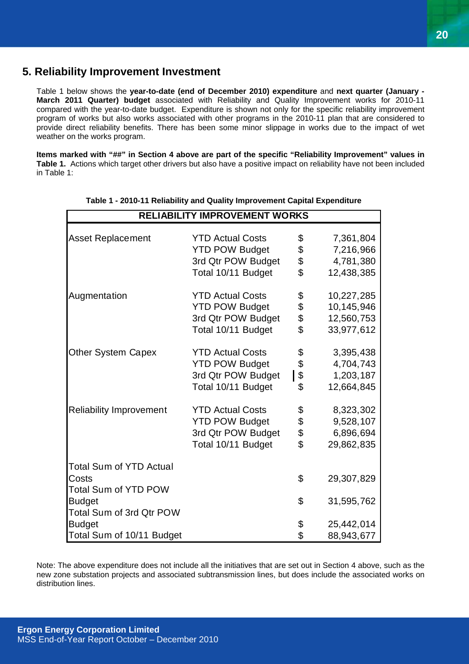## **5. Reliability Improvement Investment**

Table 1 below shows the **year-to-date (end of December 2010) expenditure** and **next quarter (January - March 2011 Quarter) budget** associated with Reliability and Quality Improvement works for 2010-11 compared with the year-to-date budget. Expenditure is shown not only for the specific reliability improvement program of works but also works associated with other programs in the 2010-11 plan that are considered to provide direct reliability benefits. There has been some minor slippage in works due to the impact of wet weather on the works program.

**Items marked with "##" in Section 4 above are part of the specific "Reliability Improvement" values in Table 1.** Actions which target other drivers but also have a positive impact on reliability have not been included in Table 1:

| <b>RELIABILITY IMPROVEMENT WORKS</b> |                         |    |            |  |  |
|--------------------------------------|-------------------------|----|------------|--|--|
|                                      |                         |    |            |  |  |
| <b>Asset Replacement</b>             | <b>YTD Actual Costs</b> | \$ | 7,361,804  |  |  |
|                                      | <b>YTD POW Budget</b>   | \$ | 7,216,966  |  |  |
|                                      | 3rd Qtr POW Budget      | \$ | 4,781,380  |  |  |
|                                      | Total 10/11 Budget      | \$ | 12,438,385 |  |  |
| Augmentation                         | <b>YTD Actual Costs</b> | \$ | 10,227,285 |  |  |
|                                      | <b>YTD POW Budget</b>   | \$ | 10,145,946 |  |  |
|                                      | 3rd Qtr POW Budget      | \$ | 12,560,753 |  |  |
|                                      | Total 10/11 Budget      | \$ | 33,977,612 |  |  |
| <b>Other System Capex</b>            | <b>YTD Actual Costs</b> | \$ | 3,395,438  |  |  |
|                                      | <b>YTD POW Budget</b>   | \$ | 4,704,743  |  |  |
|                                      | 3rd Qtr POW Budget      | \$ | 1,203,187  |  |  |
|                                      | Total 10/11 Budget      | \$ | 12,664,845 |  |  |
| <b>Reliability Improvement</b>       | <b>YTD Actual Costs</b> | \$ | 8,323,302  |  |  |
|                                      | <b>YTD POW Budget</b>   |    | 9,528,107  |  |  |
|                                      | 3rd Qtr POW Budget      | \$ | 6,896,694  |  |  |
|                                      | Total 10/11 Budget      | \$ | 29,862,835 |  |  |
| <b>Total Sum of YTD Actual</b>       |                         |    |            |  |  |
| Costs                                |                         | \$ | 29,307,829 |  |  |
| <b>Total Sum of YTD POW</b>          |                         |    |            |  |  |
| <b>Budget</b>                        |                         | \$ | 31,595,762 |  |  |
| Total Sum of 3rd Qtr POW             |                         |    |            |  |  |
| <b>Budget</b>                        |                         | \$ | 25,442,014 |  |  |
| Total Sum of 10/11 Budget            |                         | \$ | 88,943,677 |  |  |

#### **Table 1 - 2010-11 Reliability and Quality Improvement Capital Expenditure**

Note: The above expenditure does not include all the initiatives that are set out in Section 4 above, such as the new zone substation projects and associated subtransmission lines, but does include the associated works on distribution lines.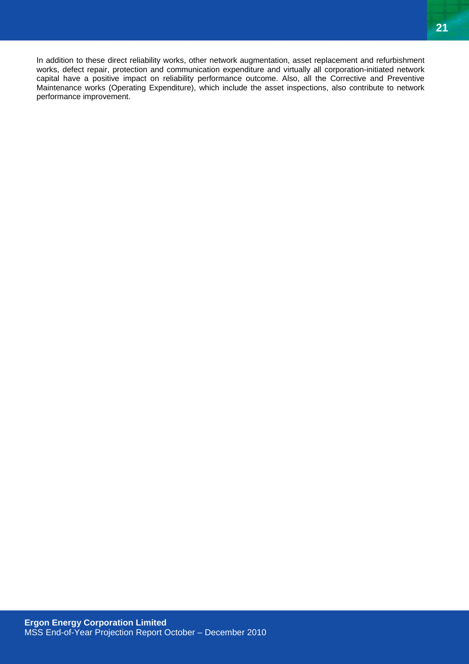In addition to these direct reliability works, other network augmentation, asset replacement and refurbishment works, defect repair, protection and communication expenditure and virtually all corporation-initiated network capital have a positive impact on reliability performance outcome. Also, all the Corrective and Preventive Maintenance works (Operating Expenditure), which include the asset inspections, also contribute to network performance improvement.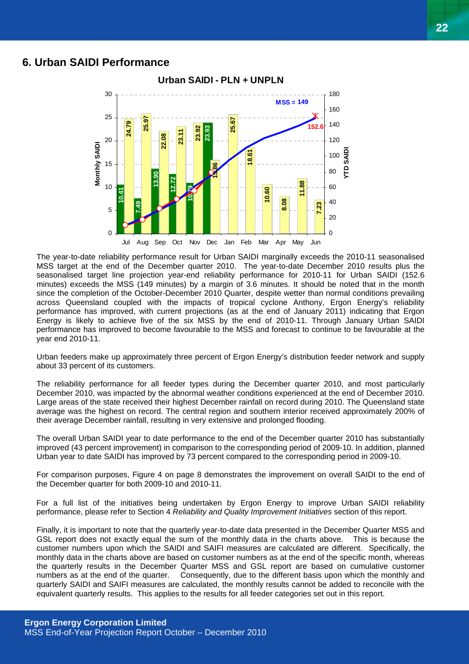#### **6. Urban SAIDI Performance**

![](_page_21_Figure_2.jpeg)

The year-to-date reliability performance result for Urban SAIDI marginally exceeds the 2010-11 seasonalised MSS target at the end of the December quarter 2010. The year-to-date December 2010 results plus the seasonalised target line projection year-end reliability performance for 2010-11 for Urban SAIDI (152.6 minutes) exceeds the MSS (149 minutes) by a margin of 3.6 minutes. It should be noted that in the month since the completion of the October-December 2010 Quarter, despite wetter than normal conditions prevailing across Queensland coupled with the impacts of tropical cyclone Anthony, Ergon Energy's reliability performance has improved, with current projections (as at the end of January 2011) indicating that Ergon Energy is likely to achieve five of the six MSS by the end of 2010-11. Through January Urban SAIDI performance has improved to become favourable to the MSS and forecast to continue to be favourable at the year end 2010-11.

Urban feeders make up approximately three percent of Ergon Energy's distribution feeder network and supply about 33 percent of its customers.

The reliability performance for all feeder types during the December quarter 2010, and most particularly December 2010, was impacted by the abnormal weather conditions experienced at the end of December 2010. Large areas of the state received their highest December rainfall on record during 2010. The Queensland state average was the highest on record. The central region and southern interior received approximately 200% of their average December rainfall, resulting in very extensive and prolonged flooding.

The overall Urban SAIDI year to date performance to the end of the December quarter 2010 has substantially improved (43 percent improvement) in comparison to the corresponding period of 2009-10. In addition, planned Urban year to date SAIDI has improved by 73 percent compared to the corresponding period in 2009-10.

For comparison purposes, Figure 4 on page 8 demonstrates the improvement on overall SAIDI to the end of the December quarter for both 2009-10 and 2010-11.

For a full list of the initiatives being undertaken by Ergon Energy to improve Urban SAIDI reliability performance, please refer to Section 4 *Reliability and Quality Improvement Initiatives* section of this report.

Finally, it is important to note that the quarterly year-to-date data presented in the December Quarter MSS and GSL report does not exactly equal the sum of the monthly data in the charts above. This is because the customer numbers upon which the SAIDI and SAIFI measures are calculated are different. Specifically, the monthly data in the charts above are based on customer numbers as at the end of the specific month, whereas the quarterly results in the December Quarter MSS and GSL report are based on cumulative customer numbers as at the end of the quarter. Consequently, due to the different basis upon which the monthly and quarterly SAIDI and SAIFI measures are calculated, the monthly results cannot be added to reconcile with the equivalent quarterly results. This applies to the results for all feeder categories set out in this report.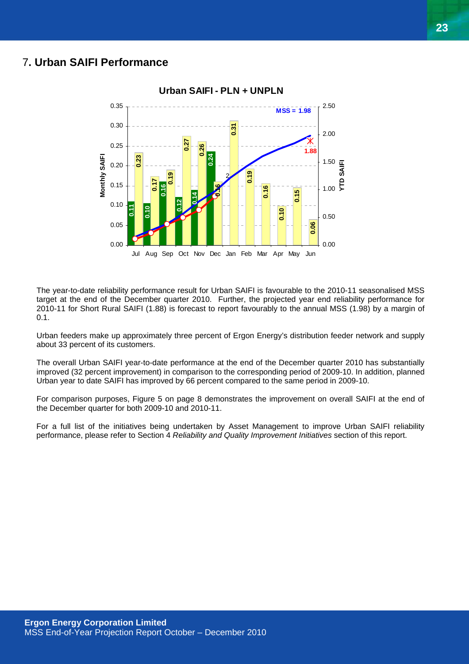## 7**. Urban SAIFI Performance**

![](_page_22_Figure_2.jpeg)

The year-to-date reliability performance result for Urban SAIFI is favourable to the 2010-11 seasonalised MSS target at the end of the December quarter 2010. Further, the projected year end reliability performance for 2010-11 for Short Rural SAIFI (1.88) is forecast to report favourably to the annual MSS (1.98) by a margin of 0.1.

Urban feeders make up approximately three percent of Ergon Energy's distribution feeder network and supply about 33 percent of its customers.

The overall Urban SAIFI year-to-date performance at the end of the December quarter 2010 has substantially improved (32 percent improvement) in comparison to the corresponding period of 2009-10. In addition, planned Urban year to date SAIFI has improved by 66 percent compared to the same period in 2009-10.

For comparison purposes, Figure 5 on page 8 demonstrates the improvement on overall SAIFI at the end of the December quarter for both 2009-10 and 2010-11.

For a full list of the initiatives being undertaken by Asset Management to improve Urban SAIFI reliability performance, please refer to Section 4 *Reliability and Quality Improvement Initiatives* section of this report.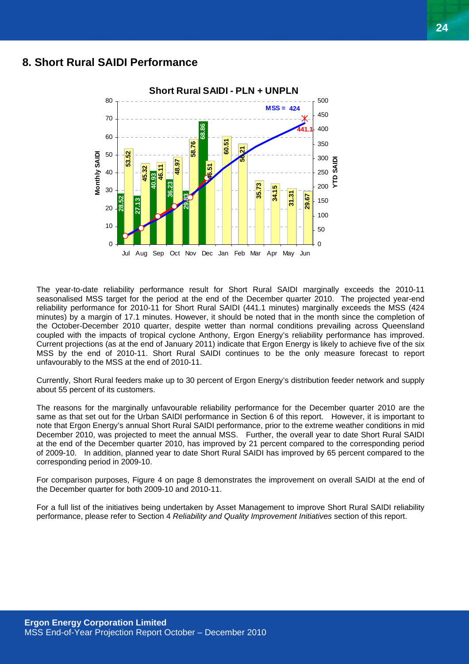## **8. Short Rural SAIDI Performance**

![](_page_23_Figure_2.jpeg)

The year-to-date reliability performance result for Short Rural SAIDI marginally exceeds the 2010-11 seasonalised MSS target for the period at the end of the December quarter 2010. The projected year-end reliability performance for 2010-11 for Short Rural SAIDI (441.1 minutes) marginally exceeds the MSS (424 minutes) by a margin of 17.1 minutes. However, it should be noted that in the month since the completion of the October-December 2010 quarter, despite wetter than normal conditions prevailing across Queensland coupled with the impacts of tropical cyclone Anthony, Ergon Energy's reliability performance has improved. Current projections (as at the end of January 2011) indicate that Ergon Energy is likely to achieve five of the six MSS by the end of 2010-11. Short Rural SAIDI continues to be the only measure forecast to report unfavourably to the MSS at the end of 2010-11.

Currently, Short Rural feeders make up to 30 percent of Ergon Energy's distribution feeder network and supply about 55 percent of its customers.

The reasons for the marginally unfavourable reliability performance for the December quarter 2010 are the same as that set out for the Urban SAIDI performance in Section 6 of this report. However, it is important to note that Ergon Energy's annual Short Rural SAIDI performance, prior to the extreme weather conditions in mid December 2010, was projected to meet the annual MSS. Further, the overall year to date Short Rural SAIDI at the end of the December quarter 2010, has improved by 21 percent compared to the corresponding period of 2009-10. In addition, planned year to date Short Rural SAIDI has improved by 65 percent compared to the corresponding period in 2009-10.

For comparison purposes, Figure 4 on page 8 demonstrates the improvement on overall SAIDI at the end of the December quarter for both 2009-10 and 2010-11.

For a full list of the initiatives being undertaken by Asset Management to improve Short Rural SAIDI reliability performance, please refer to Section 4 *Reliability and Quality Improvement Initiatives* section of this report.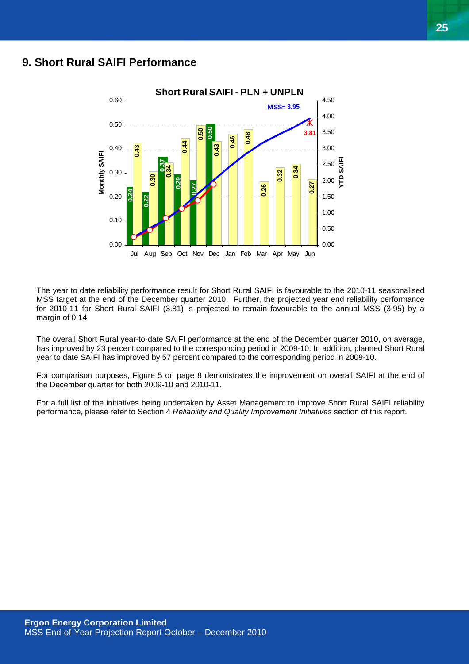## **9. Short Rural SAIFI Performance**

![](_page_24_Figure_2.jpeg)

The year to date reliability performance result for Short Rural SAIFI is favourable to the 2010-11 seasonalised MSS target at the end of the December quarter 2010. Further, the projected year end reliability performance for 2010-11 for Short Rural SAIFI (3.81) is projected to remain favourable to the annual MSS (3.95) by a margin of 0.14.

The overall Short Rural year-to-date SAIFI performance at the end of the December quarter 2010, on average, has improved by 23 percent compared to the corresponding period in 2009-10. In addition, planned Short Rural year to date SAIFI has improved by 57 percent compared to the corresponding period in 2009-10.

For comparison purposes, Figure 5 on page 8 demonstrates the improvement on overall SAIFI at the end of the December quarter for both 2009-10 and 2010-11.

For a full list of the initiatives being undertaken by Asset Management to improve Short Rural SAIFI reliability performance, please refer to Section 4 *Reliability and Quality Improvement Initiatives* section of this report.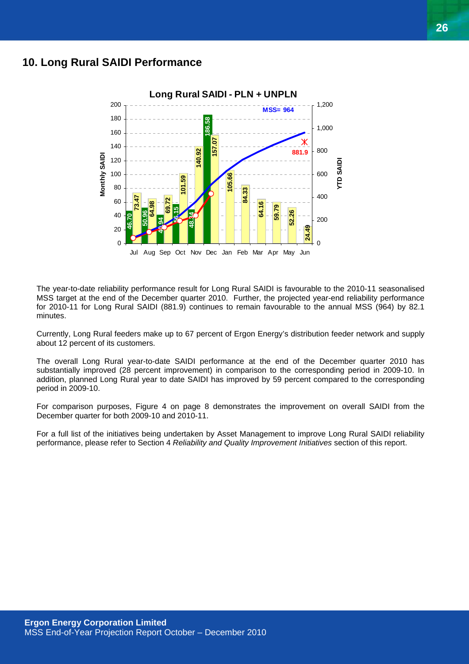## **10. Long Rural SAIDI Performance**

![](_page_25_Figure_2.jpeg)

The year-to-date reliability performance result for Long Rural SAIDI is favourable to the 2010-11 seasonalised MSS target at the end of the December quarter 2010. Further, the projected year-end reliability performance for 2010-11 for Long Rural SAIDI (881.9) continues to remain favourable to the annual MSS (964) by 82.1 minutes.

Currently, Long Rural feeders make up to 67 percent of Ergon Energy's distribution feeder network and supply about 12 percent of its customers.

The overall Long Rural year-to-date SAIDI performance at the end of the December quarter 2010 has substantially improved (28 percent improvement) in comparison to the corresponding period in 2009-10. In addition, planned Long Rural year to date SAIDI has improved by 59 percent compared to the corresponding period in 2009-10.

For comparison purposes, Figure 4 on page 8 demonstrates the improvement on overall SAIDI from the December quarter for both 2009-10 and 2010-11.

For a full list of the initiatives being undertaken by Asset Management to improve Long Rural SAIDI reliability performance, please refer to Section 4 *Reliability and Quality Improvement Initiatives* section of this report.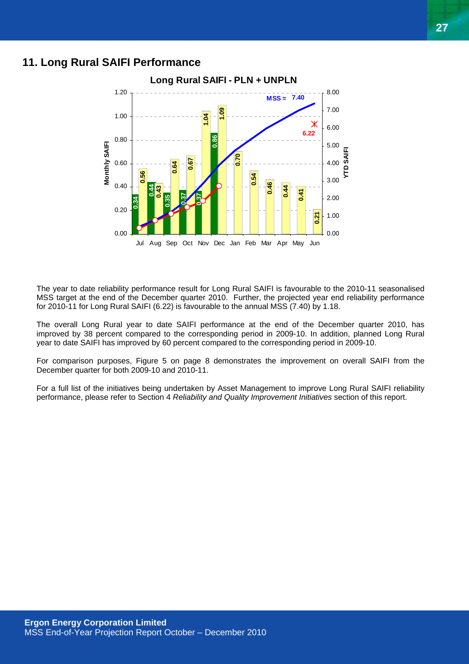## **11. Long Rural SAIFI Performance**

![](_page_26_Figure_2.jpeg)

The year to date reliability performance result for Long Rural SAIFI is favourable to the 2010-11 seasonalised MSS target at the end of the December quarter 2010. Further, the projected year end reliability performance for 2010-11 for Long Rural SAIFI (6.22) is favourable to the annual MSS (7.40) by 1.18.

The overall Long Rural year to date SAIFI performance at the end of the December quarter 2010, has improved by 38 percent compared to the corresponding period in 2009-10. In addition, planned Long Rural year to date SAIFI has improved by 60 percent compared to the corresponding period in 2009-10.

For comparison purposes, Figure 5 on page 8 demonstrates the improvement on overall SAIFI from the December quarter for both 2009-10 and 2010-11.

For a full list of the initiatives being undertaken by Asset Management to improve Long Rural SAIFI reliability performance, please refer to Section 4 *Reliability and Quality Improvement Initiatives* section of this report.